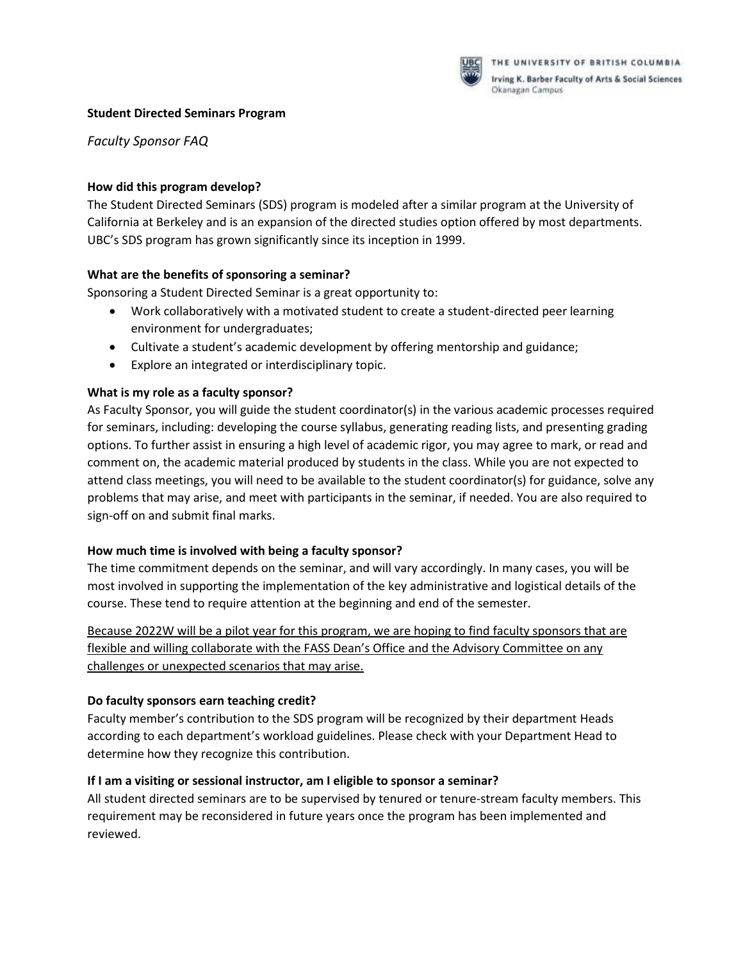

# **Student Directed Seminars Program**

*Faculty Sponsor FAQ*

#### **How did this program develop?**

The Student Directed Seminars (SDS) program is modeled after a similar program at the University of California at Berkeley and is an expansion of the directed studies option offered by most departments. UBC's SDS program has grown significantly since its inception in 1999.

#### **What are the benefits of sponsoring a seminar?**

Sponsoring a Student Directed Seminar is a great opportunity to:

- Work collaboratively with a motivated student to create a student-directed peer learning environment for undergraduates;
- Cultivate a student's academic development by offering mentorship and guidance;
- Explore an integrated or interdisciplinary topic.

# **What is my role as a faculty sponsor?**

As Faculty Sponsor, you will guide the student coordinator(s) in the various academic processes required for seminars, including: developing the course syllabus, generating reading lists, and presenting grading options. To further assist in ensuring a high level of academic rigor, you may agree to mark, or read and comment on, the academic material produced by students in the class. While you are not expected to attend class meetings, you will need to be available to the student coordinator(s) for guidance, solve any problems that may arise, and meet with participants in the seminar, if needed. You are also required to sign-off on and submit final marks.

# **How much time is involved with being a faculty sponsor?**

The time commitment depends on the seminar, and will vary accordingly. In many cases, you will be most involved in supporting the implementation of the key administrative and logistical details of the course. These tend to require attention at the beginning and end of the semester.

Because 2022W will be a pilot year for this program, we are hoping to find faculty sponsors that are flexible and willing collaborate with the FASS Dean's Office and the Advisory Committee on any challenges or unexpected scenarios that may arise.

# **Do faculty sponsors earn teaching credit?**

Faculty member's contribution to the SDS program will be recognized by their department Heads according to each department's workload guidelines. Please check with your Department Head to determine how they recognize this contribution.

# **If I am a visiting or sessional instructor, am I eligible to sponsor a seminar?**

All student directed seminars are to be supervised by tenured or tenure-stream faculty members. This requirement may be reconsidered in future years once the program has been implemented and reviewed.